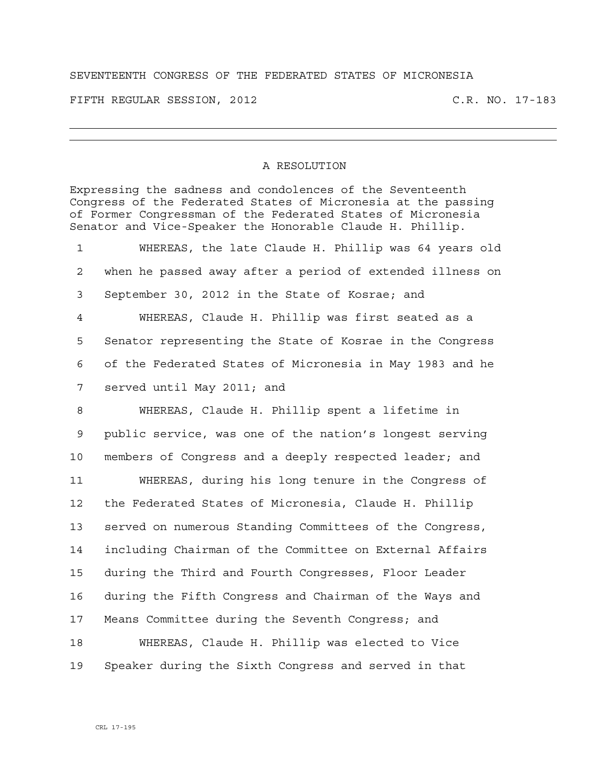## SEVENTEENTH CONGRESS OF THE FEDERATED STATES OF MICRONESIA

FIFTH REGULAR SESSION, 2012 C.R. NO. 17-183

## A RESOLUTION

Expressing the sadness and condolences of the Seventeenth Congress of the Federated States of Micronesia at the passing of Former Congressman of the Federated States of Micronesia Senator and Vice-Speaker the Honorable Claude H. Phillip.

1 WHEREAS, the late Claude H. Phillip was 64 years old 2 when he passed away after a period of extended illness on 3 September 30, 2012 in the State of Kosrae; and 4 WHEREAS, Claude H. Phillip was first seated as a 5 Senator representing the State of Kosrae in the Congress 6 of the Federated States of Micronesia in May 1983 and he 7 served until May 2011; and 8 WHEREAS, Claude H. Phillip spent a lifetime in 9 public service, was one of the nation's longest serving 10 members of Congress and a deeply respected leader; and 11 WHEREAS, during his long tenure in the Congress of 12 the Federated States of Micronesia, Claude H. Phillip 13 served on numerous Standing Committees of the Congress, 14 including Chairman of the Committee on External Affairs 15 during the Third and Fourth Congresses, Floor Leader 16 during the Fifth Congress and Chairman of the Ways and 17 Means Committee during the Seventh Congress; and 18 WHEREAS, Claude H. Phillip was elected to Vice 19 Speaker during the Sixth Congress and served in that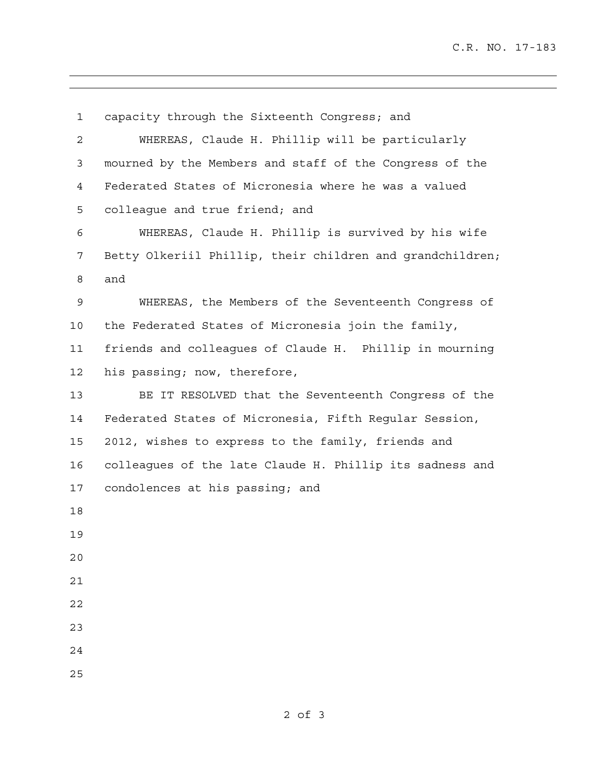1 capacity through the Sixteenth Congress; and 2 WHEREAS, Claude H. Phillip will be particularly 3 mourned by the Members and staff of the Congress of the 4 Federated States of Micronesia where he was a valued 5 colleague and true friend; and 6 WHEREAS, Claude H. Phillip is survived by his wife 7 Betty Olkeriil Phillip, their children and grandchildren; 8 and 9 WHEREAS, the Members of the Seventeenth Congress of 10 the Federated States of Micronesia join the family, 11 friends and colleagues of Claude H. Phillip in mourning 12 his passing; now, therefore, 13 BE IT RESOLVED that the Seventeenth Congress of the 14 Federated States of Micronesia, Fifth Regular Session, 15 2012, wishes to express to the family, friends and 16 colleagues of the late Claude H. Phillip its sadness and 17 condolences at his passing; and 18 19 20 21 22 23 24 25